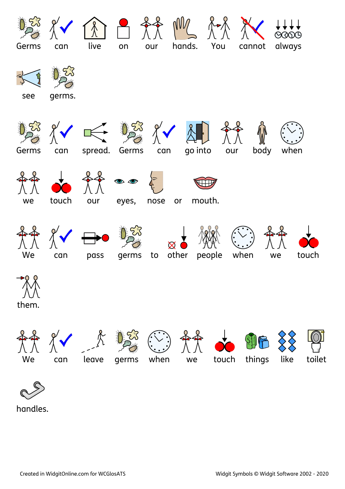

handles.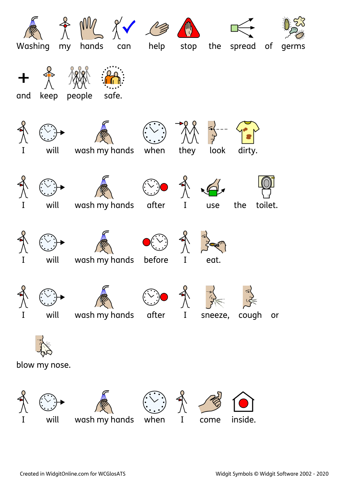